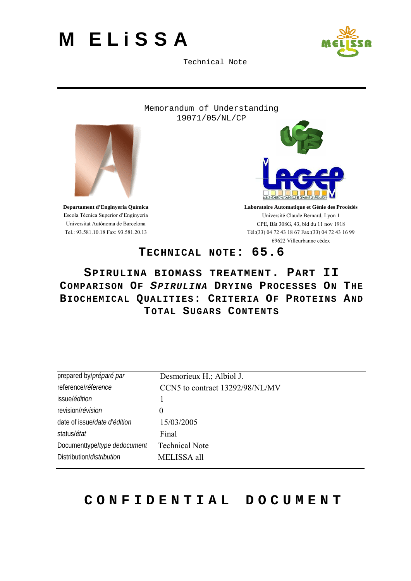

Technical Note

Memorandum of Understanding 19071/05/NL/CP

<span id="page-0-0"></span>

**Departament d'Enginyeria Química**  Escola Tècnica Superior d'Enginyeria Universitat Autònoma de Barcelona Tel.: 93.581.10.18 Fax: 93.581.20.13



**Laboratoire Automatique et Génie des Procédés**  Université Claude Bernard, Lyon 1 CPE, Bât 308G, 43, bld du 11 nov 1918 Tél:(33) 04 72 43 18 67 Fax:(33) 04 72 43 16 99 69622 Villeurbanne cédex

### **TECHNICAL NOTE: [65.6](#page-0-0)**

### **[SPIRULINA BIOMASS TREATMENT.](#page-0-0) [PART II](#page-0-0)  COMPARISON OF** *SPIRULINA* **DRYING PRO[C](#page-0-0)ESSES ON THE BIOCHEMICAL QUALITIES: CRITERIA OF PROTEINS AND TOTAL SUGARS CONTENTS**

| prepared by/préparé par           | Desmorieux H.; Albiol J.        |
|-----------------------------------|---------------------------------|
| reference/réference               | CCN5 to contract 13292/98/NL/MV |
| issue/ <i>édition</i>             |                                 |
| revision/révision                 | $\theta$                        |
| date of issue/date d'édition      | 15/03/2005                      |
| status/ <i>état</i>               | Final                           |
| Documenttype/type dedocument      | <b>Technical Note</b>           |
| Distribution/ <i>distribution</i> | MELISSA all                     |

# **CONFIDENTIAL DOCUMENT**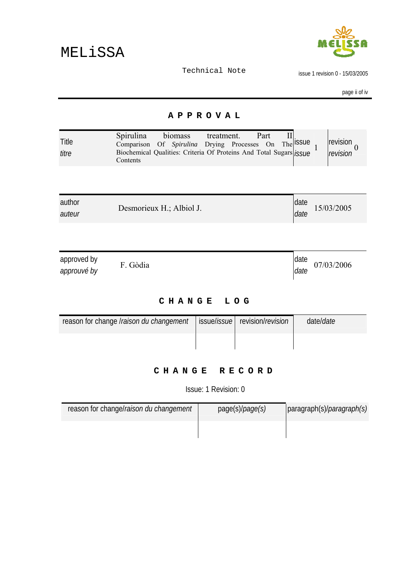

issue 1 revision 0 - 15/03/2005

page ii of iv

#### **APPROVAL**

<span id="page-1-0"></span>

| Title<br>titre             | Spirulina<br>biomass treatment.<br>Part<br>Comparison Of Spirulina Drying Processes On The SSUE<br>Biochemical Qualities: Criteria Of Proteins And Total Sugars (SSUE<br>Contents |              | revision<br>$\theta$<br>revision |
|----------------------------|-----------------------------------------------------------------------------------------------------------------------------------------------------------------------------------|--------------|----------------------------------|
|                            |                                                                                                                                                                                   |              |                                  |
| author<br>auteur           | Desmorieux H.; Albiol J.                                                                                                                                                          | date<br>date | 15/03/2005                       |
|                            |                                                                                                                                                                                   |              |                                  |
| approved by<br>approuvé by | F. Gòdia                                                                                                                                                                          | date<br>date | 07/03/2006                       |

### **CHANGE LOG**

| reason for change <i>Iraison du changement</i>   issue/ <i>issue</i>   revision/ <i>revision</i> |  | date/ <i>date</i> |
|--------------------------------------------------------------------------------------------------|--|-------------------|
|                                                                                                  |  |                   |

### **CHANGE RECORD**

Issue: 1 Revision: 0

| reason for change/raison du changement | page(s)/ <i>page(s)</i> | paragraph(s)/ <i>paragraph(s)</i> |
|----------------------------------------|-------------------------|-----------------------------------|
|                                        |                         |                                   |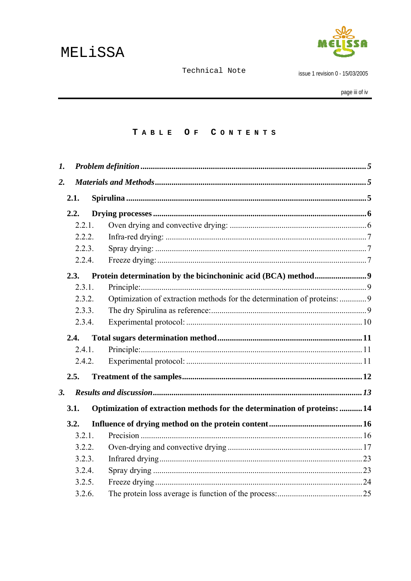

issue 1 revision 0 - 15/03/2005

#### TABLE OF CONTENTS

| 1. |        |                                                                           |  |
|----|--------|---------------------------------------------------------------------------|--|
| 2. |        |                                                                           |  |
|    | 2.1.   |                                                                           |  |
|    | 2.2.   |                                                                           |  |
|    | 2.2.1. |                                                                           |  |
|    | 2.2.2. |                                                                           |  |
|    | 2.2.3. |                                                                           |  |
|    | 2.2.4. |                                                                           |  |
|    | 2.3.   |                                                                           |  |
|    | 2.3.1. |                                                                           |  |
|    | 2.3.2. | Optimization of extraction methods for the determination of proteins: 9   |  |
|    | 2.3.3. |                                                                           |  |
|    | 2.3.4. |                                                                           |  |
|    | 2.4.   |                                                                           |  |
|    | 2.4.1. |                                                                           |  |
|    | 2.4.2. |                                                                           |  |
|    | 2.5.   |                                                                           |  |
| 3. |        |                                                                           |  |
|    | 3.1.   | Optimization of extraction methods for the determination of proteins:  14 |  |
|    | 3.2.   |                                                                           |  |
|    | 3.2.1. |                                                                           |  |
|    | 3.2.2. |                                                                           |  |
|    | 3.2.3. |                                                                           |  |
|    | 3.2.4. |                                                                           |  |
|    | 3.2.5. |                                                                           |  |
|    | 3.2.6. |                                                                           |  |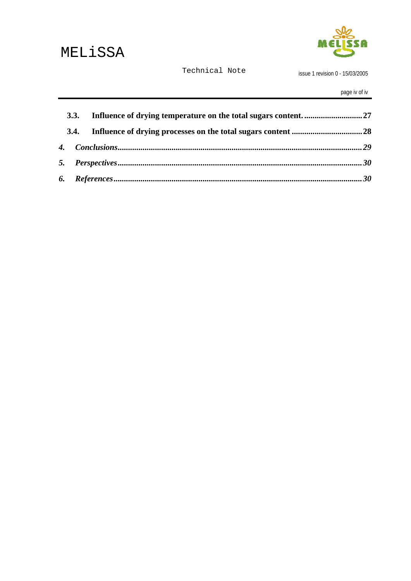

issue 1 revision 0 - 15/03/2005

page iv of iv

| 3.3. |  |
|------|--|
|      |  |
|      |  |
|      |  |
|      |  |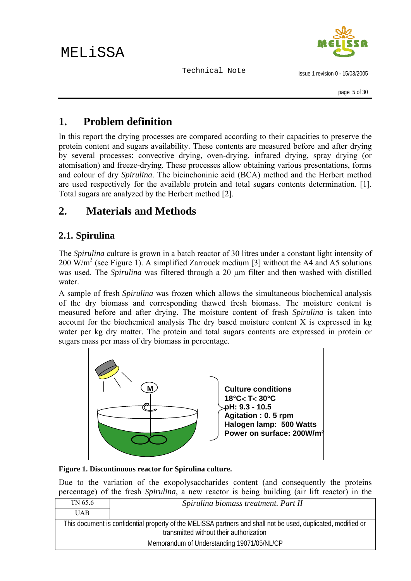### <span id="page-4-0"></span>**1. Problem definition**

In this report the drying processes are compared according to their capacities to preserve the protein content and sugars availability. These contents are measured before and after drying by several processes: convective drying, oven-drying, infrared drying, spray drying (or atomisation) and freeze-drying. These processes allow obtaining various presentations, forms and colour of dry *Spirulina*. The bicinchoninic acid (BCA) method and the Herbert method are used respectively for the available protein and total sugars contents determination. [1]. Total sugars are analyzed by the Herbert method [2].

### **2. Materials and Methods**

### **2.1. Spirulina**

The *Spirulina* culture is grown in a batch reactor of 30 litres under a constant light intensity of 200  $\text{W/m}^2$  (see Figure 1). A simplified Zarrouck medium [3] without the A4 and A5 solutions was used. The *Spirulina* was filtered through a 20 µm filter and then washed with distilled water.

A sample of fresh *Spirulina* was frozen which allows the simultaneous biochemical analysis of the dry biomass and corresponding thawed fresh biomass. The moisture content is measured before and after drying. The moisture content of fresh *Spirulina* is taken into account for the biochemical analysis The dry based moisture content X is expressed in kg water per kg dry matter. The protein and total sugars contents are expressed in protein or sugars mass per mass of dry biomass in percentage.



**Figure 1. Discontinuous reactor for Spirulina culture.** 

Due to the variation of the exopolysaccharides content (and consequently the proteins percentage) of the fresh *Spirulina*, a new reactor is being building (air lift reactor) in the

| TN 65.6    | Spirulina biomass treatment. Part II                                                                                                                     |
|------------|----------------------------------------------------------------------------------------------------------------------------------------------------------|
| <b>UAB</b> |                                                                                                                                                          |
|            | This document is confidential property of the MELISSA partners and shall not be used, duplicated, modified or<br>transmitted without their authorization |
|            | Memorandum of Understanding 19071/05/NL/CP                                                                                                               |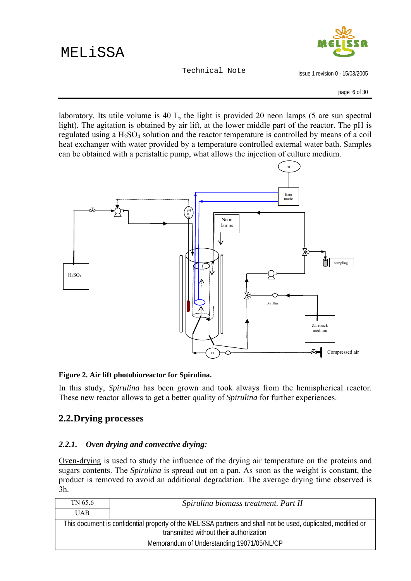

issue 1 revision 0 - 15/03/2005

page 6 of 30

<span id="page-5-0"></span>laboratory. Its utile volume is 40 L, the light is provided 20 neon lamps (5 are sun spectral light). The agitation is obtained by air lift, at the lower middle part of the reactor. The pH is regulated using a  $H_2SO_4$  solution and the reactor temperature is controlled by means of a coil heat exchanger with water provided by a temperature controlled external water bath. Samples can be obtained with a peristaltic pump, what allows the injection of culture medium.



#### **Figure 2. Air lift photobioreactor for Spirulina.**

In this study, *Spirulina* has been grown and took always from the hemispherical reactor. These new reactor allows to get a better quality of *Spirulina* for further experiences.

### **2.2.Drying processes**

### *2.2.1. Oven drying and convective drying:*

Oven-drying is used to study the influence of the drying air temperature on the proteins and sugars contents. The *Spirulina* is spread out on a pan. As soon as the weight is constant, the product is removed to avoid an additional degradation. The average drying time observed is 3h.

| TN 65.6                                                                                                                                                  | Spirulina biomass treatment. Part II |
|----------------------------------------------------------------------------------------------------------------------------------------------------------|--------------------------------------|
| <b>UAB</b>                                                                                                                                               |                                      |
| This document is confidential property of the MELISSA partners and shall not be used, duplicated, modified or<br>transmitted without their authorization |                                      |
| Memorandum of Understanding 19071/05/NL/CP                                                                                                               |                                      |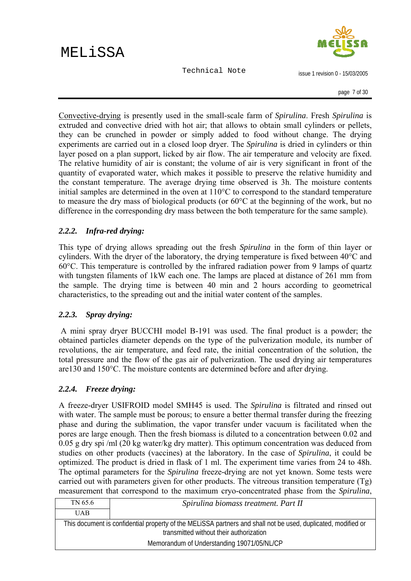issue 1 revision 0 - 15/03/2005

<span id="page-6-0"></span>Convective-drying is presently used in the small-scale farm of *Spirulina*. Fresh *Spirulina* is extruded and convective dried with hot air; that allows to obtain small cylinders or pellets, they can be crunched in powder or simply added to food without change. The drying experiments are carried out in a closed loop dryer. The *Spirulina* is dried in cylinders or thin layer posed on a plan support, licked by air flow. The air temperature and velocity are fixed. The relative humidity of air is constant; the volume of air is very significant in front of the quantity of evaporated water, which makes it possible to preserve the relative humidity and the constant temperature. The average drying time observed is 3h. The moisture contents initial samples are determined in the oven at 110°C to correspond to the standard temperature to measure the dry mass of biological products (or 60°C at the beginning of the work, but no difference in the corresponding dry mass between the both temperature for the same sample).

#### *2.2.2. Infra-red drying:*

This type of drying allows spreading out the fresh *Spirulina* in the form of thin layer or cylinders. With the dryer of the laboratory, the drying temperature is fixed between 40°C and 60°C. This temperature is controlled by the infrared radiation power from 9 lamps of quartz with tungsten filaments of 1kW each one. The lamps are placed at distance of 261 mm from the sample. The drying time is between 40 min and 2 hours according to geometrical characteristics, to the spreading out and the initial water content of the samples.

### *2.2.3. Spray drying:*

 A mini spray dryer BUCCHI model B-191 was used. The final product is a powder; the obtained particles diameter depends on the type of the pulverization module, its number of revolutions, the air temperature, and feed rate, the initial concentration of the solution, the total pressure and the flow of the gas air of pulverization. The used drying air temperatures are130 and 150°C. The moisture contents are determined before and after drying.

#### *2.2.4. Freeze drying:*

A freeze-dryer USIFROID model SMH45 is used. The *Spirulina* is filtrated and rinsed out with water. The sample must be porous; to ensure a better thermal transfer during the freezing phase and during the sublimation, the vapor transfer under vacuum is facilitated when the pores are large enough. Then the fresh biomass is diluted to a concentration between 0.02 and 0.05 g dry spi /ml (20 kg water/kg dry matter). This optimum concentration was deduced from studies on other products (vaccines) at the laboratory. In the case of *Spirulina*, it could be optimized. The product is dried in flask of 1 ml. The experiment time varies from 24 to 48h. The optimal parameters for the *Spirulina* freeze-drying are not yet known. Some tests were carried out with parameters given for other products. The vitreous transition temperature (Tg) measurement that correspond to the maximum cryo-concentrated phase from the *Spirulina*,

| TN 65.6                                                                                                                                                  | Spirulina biomass treatment. Part II |
|----------------------------------------------------------------------------------------------------------------------------------------------------------|--------------------------------------|
| <b>UAB</b>                                                                                                                                               |                                      |
| This document is confidential property of the MELISSA partners and shall not be used, duplicated, modified or<br>transmitted without their authorization |                                      |
| Memorandum of Understanding 19071/05/NL/CP                                                                                                               |                                      |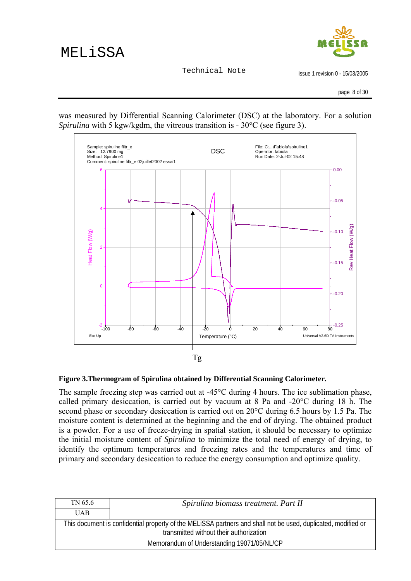

issue 1 revision 0 - 15/03/2005

page 8 of 30

was measured by Differential Scanning Calorimeter (DSC) at the laboratory. For a solution *Spirulina* with 5 kgw/kgdm, the vitreous transition is - 30 °C (see figure 3).



#### **Figure 3.Thermogram of Spirulina obtained by Differential Scanning Calorimeter.**

The sample freezing step was carried out at -45°C during 4 hours. The ice sublimation phase, called primary desiccation, is carried out by vacuum at 8 Pa and -20°C during 18 h. The second phase or secondary desiccation is carried out on 20°C during 6.5 hours by 1.5 Pa. The moisture content is determined at the beginning and the end of drying. The obtained product is a powder. For a use of freeze-drying in spatial station, it should be necessary to optimize the initial moisture content of *Spirulina* to minimize the total need of energy of drying, to identify the optimum temperatures and freezing rates and the temperatures and time of primary and secondary desiccation to reduce the energy consumption and optimize quality.

| TN 65.6                                                                                                                                                  | Spirulina biomass treatment. Part II       |
|----------------------------------------------------------------------------------------------------------------------------------------------------------|--------------------------------------------|
| <b>UAB</b>                                                                                                                                               |                                            |
| This document is confidential property of the MELISSA partners and shall not be used, duplicated, modified or<br>transmitted without their authorization |                                            |
|                                                                                                                                                          | Memorandum of Understanding 19071/05/NL/CP |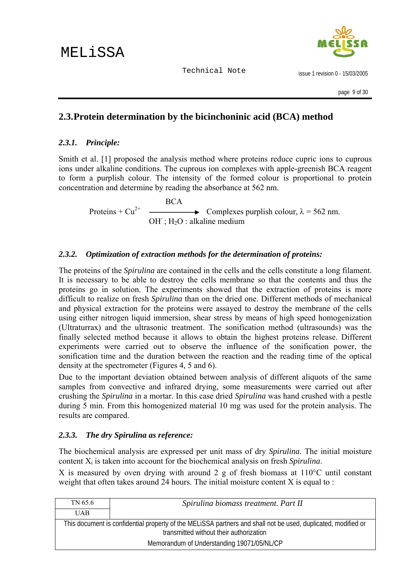

issue 1 revision 0 - 15/03/2005

### <span id="page-8-0"></span>**2.3.Protein determination by the bicinchoninic acid (BCA) method**

### *2.3.1. Principle:*

Smith et al. [1] proposed the analysis method where proteins reduce cupric ions to cuprous ions under alkaline conditions. The cuprous ion complexes with apple-greenish BCA reagent to form a purplish colour. The intensity of the formed colour is proportional to protein concentration and determine by reading the absorbance at 562 nm.

 $Proteins + Cu^{2+}$   $\overline{\qquad}$ Complexes purplish colour,  $\lambda = 562$  nm.  $OH$ ;  $H<sub>2</sub>O$ : alkaline medium

### *2.3.2. Optimization of extraction methods for the determination of proteins:*

The proteins of the *Spirulina* are contained in the cells and the cells constitute a long filament. It is necessary to be able to destroy the cells membrane so that the contents and thus the proteins go in solution. The experiments showed that the extraction of proteins is more difficult to realize on fresh *Spirulina* than on the dried one. Different methods of mechanical and physical extraction for the proteins were assayed to destroy the membrane of the cells using either nitrogen liquid immersion, shear stress by means of high speed homogenization (Ultraturrax) and the ultrasonic treatment. The sonification method (ultrasounds) was the finally selected method because it allows to obtain the highest proteins release. Different experiments were carried out to observe the influence of the sonification power, the sonification time and the duration between the reaction and the reading time of the optical density at the spectrometer (Figures 4, 5 and 6).

Due to the important deviation obtained between analysis of different aliquots of the same samples from convective and infrared drying, some measurements were carried out after crushing the *Spirulina* in a mortar. In this case dried *Spirulina* was hand crushed with a pestle during 5 min. From this homogenized material 10 mg was used for the protein analysis. The results are compared.

#### *2.3.3. The dry Spirulina as reference:*

The biochemical analysis are expressed per unit mass of dry *Spirulina*. The initial moisture content Xi is taken into account for the biochemical analysis on fresh *Spirulina*.

X is measured by oven drying with around 2 g of fresh biomass at  $110^{\circ}$ C until constant weight that often takes around 24 hours. The initial moisture content X is equal to :

| TN 65.6                                                                                                                                                  | Spirulina biomass treatment. Part II |
|----------------------------------------------------------------------------------------------------------------------------------------------------------|--------------------------------------|
| <b>UAB</b>                                                                                                                                               |                                      |
| This document is confidential property of the MELISSA partners and shall not be used, duplicated, modified or<br>transmitted without their authorization |                                      |
| Memorandum of Understanding 19071/05/NL/CP                                                                                                               |                                      |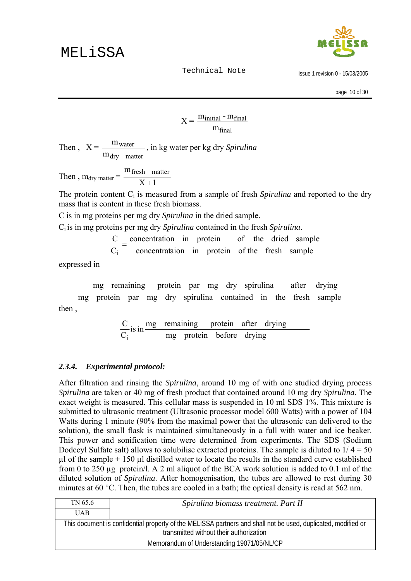

issue 1 revision 0 - 15/03/2005

page 10 of 30

$$
X = \frac{m_{initial} - m_{final}}{m_{final}}
$$

<span id="page-9-0"></span>Then,  $X =$ dry matter water m  $\frac{m_{\text{water}}}{m_{\text{water}}}$ , in kg water per kg dry *Spirulina* 

Then,  $m_{\text{dry matter}} = \frac{m_{\text{S}}m_{\text{H}}}{X+1}$ m<sub>fresh</sub> matter  $\frac{1}{1}$ 

The protein content C<sub>i</sub> is measured from a sample of fresh *Spirulina* and reported to the dry mass that is content in these fresh biomass.

C is in mg proteins per mg dry *Spirulina* in the dried sample.

Ci is in mg proteins per mg dry *Spirulina* contained in the fresh *Spirulina*.

$$
\frac{C}{C} = \frac{\text{concentration}}{\text{interaction}} \text{ in protein} \qquad \text{of the dried sample}
$$

concentrataion in protein of the fresh sample  $C_i$ 

expressed in

then , mg protein par mg dry spirulina contained in the fresh sample mg remaining protein par mg dry spirulina after drying

$$
\frac{C}{C_i} \text{ is in } \frac{\text{mg} \quad \text{remaining} \quad \text{protein} \quad \text{after} \quad \text{drying}}{\text{mg} \quad \text{protein} \quad \text{before} \quad \text{drying}}
$$

#### *2.3.4. Experimental protocol:*

After filtration and rinsing the *Spirulina*, around 10 mg of with one studied drying process *Spirulina* are taken or 40 mg of fresh product that contained around 10 mg dry *Spirulina*. The exact weight is measured. This cellular mass is suspended in 10 ml SDS 1%. This mixture is submitted to ultrasonic treatment (Ultrasonic processor model 600 Watts) with a power of 104 Watts during 1 minute (90% from the maximal power that the ultrasonic can delivered to the solution), the small flask is maintained simultaneously in a full with water and ice beaker. This power and sonification time were determined from experiments. The SDS (Sodium Dodecyl Sulfate salt) allows to solubilise extracted proteins. The sample is diluted to  $1/4 = 50$  $\mu$ l of the sample + 150  $\mu$ l distilled water to locate the results in the standard curve established from 0 to 250 µg protein/l. A 2 ml aliquot of the BCA work solution is added to 0.1 ml of the diluted solution of *Spirulina*. After homogenisation, the tubes are allowed to rest during 30 minutes at 60 °C. Then, the tubes are cooled in a bath; the optical density is read at 562 nm.

| TN 65.6                                                                                                                                                  | Spirulina biomass treatment. Part II |
|----------------------------------------------------------------------------------------------------------------------------------------------------------|--------------------------------------|
| <b>UAB</b>                                                                                                                                               |                                      |
| This document is confidential property of the MELISSA partners and shall not be used, duplicated, modified or<br>transmitted without their authorization |                                      |
| Memorandum of Understanding 19071/05/NL/CP                                                                                                               |                                      |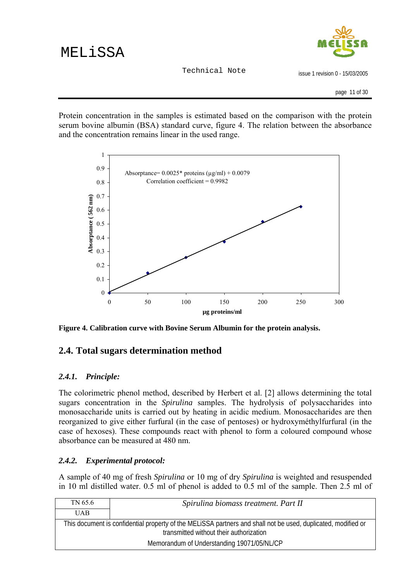

issue 1 revision 0 - 15/03/2005

<span id="page-10-0"></span>Protein concentration in the samples is estimated based on the comparison with the protein serum bovine albumin (BSA) standard curve, figure 4. The relation between the absorbance and the concentration remains linear in the used range.



**Figure 4. Calibration curve with Bovine Serum Albumin for the protein analysis.** 

### **2.4. Total sugars determination method**

### *2.4.1. Principle:*

The colorimetric phenol method, described by Herbert et al. [2] allows determining the total sugars concentration in the *Spirulina* samples. The hydrolysis of polysaccharides into monosaccharide units is carried out by heating in acidic medium. Monosaccharides are then reorganized to give either furfural (in the case of pentoses) or hydroxyméthylfurfural (in the case of hexoses). These compounds react with phenol to form a coloured compound whose absorbance can be measured at 480 nm.

### *2.4.2. Experimental protocol:*

A sample of 40 mg of fresh *Spirulina* or 10 mg of dry *Spirulina* is weighted and resuspended in 10 ml distilled water. 0.5 ml of phenol is added to 0.5 ml of the sample. Then 2.5 ml of

| TN 65.6    | Spirulina biomass treatment. Part II                                                                                                                     |
|------------|----------------------------------------------------------------------------------------------------------------------------------------------------------|
| <b>UAB</b> |                                                                                                                                                          |
|            | This document is confidential property of the MELISSA partners and shall not be used, duplicated, modified or<br>transmitted without their authorization |
|            | Memorandum of Understanding 19071/05/NL/CP                                                                                                               |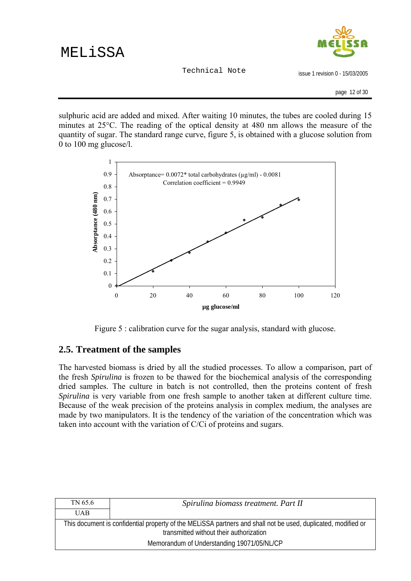issue 1 revision 0 - 15/03/2005

page 12 of 30

<span id="page-11-0"></span>sulphuric acid are added and mixed. After waiting 10 minutes, the tubes are cooled during 15 minutes at 25°C. The reading of the optical density at 480 nm allows the measure of the quantity of sugar. The standard range curve, figure 5, is obtained with a glucose solution from 0 to 100 mg glucose/l.



Figure 5 : calibration curve for the sugar analysis, standard with glucose.

### **2.5. Treatment of the samples**

The harvested biomass is dried by all the studied processes. To allow a comparison, part of the fresh *Spirulina* is frozen to be thawed for the biochemical analysis of the corresponding dried samples. The culture in batch is not controlled, then the proteins content of fresh *Spirulina* is very variable from one fresh sample to another taken at different culture time. Because of the weak precision of the proteins analysis in complex medium, the analyses are made by two manipulators. It is the tendency of the variation of the concentration which was taken into account with the variation of C/Ci of proteins and sugars.

| TN 65.6    | Spirulina biomass treatment. Part II                                                                                                                     |
|------------|----------------------------------------------------------------------------------------------------------------------------------------------------------|
| <b>UAB</b> |                                                                                                                                                          |
|            | This document is confidential property of the MELISSA partners and shall not be used, duplicated, modified or<br>transmitted without their authorization |
|            | Memorandum of Understanding 19071/05/NL/CP                                                                                                               |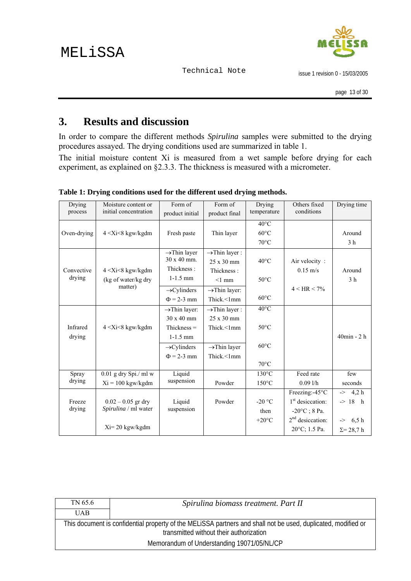issue 1 revision 0 - 15/03/2005

## <span id="page-12-0"></span>**3. Results and discussion**

In order to compare the different methods *Spirulina* samples were submitted to the drying procedures assayed. The drying conditions used are summarized in table 1.

The initial moisture content Xi is measured from a wet sample before drying for each experiment, as explained on §2.3.3. The thickness is measured with a micrometer.

| Drying      | Moisture content or     | Form of                   | Form of                    | Drying          | Others fixed                 | Drying time           |
|-------------|-------------------------|---------------------------|----------------------------|-----------------|------------------------------|-----------------------|
| process     | initial concentration   | product initial           | product final              | temperature     | conditions                   |                       |
|             |                         |                           |                            | $40^{\circ}$ C  |                              |                       |
| Oven-drying | $4 < Xi < 8$ kgw/kgdm   | Fresh paste               | Thin layer                 | $60^{\circ}$ C  |                              | Around                |
|             |                         |                           |                            | $70^{\circ}$ C  |                              | 3 <sub>h</sub>        |
|             |                         | $\rightarrow$ Thin layer  | $\rightarrow$ Thin layer : |                 |                              |                       |
|             |                         | $30 \times 40$ mm.        | $25 \times 30$ mm          | $40^{\circ}$ C  | Air velocity:                |                       |
| Convective  | $4 < Xi < 8$ kgw/kgdm   | Thickness:                | Thickness:                 |                 | $0.15 \text{ m/s}$           | Around                |
| drying      | (kg of water/kg dry     | $1 - 1.5$ mm              | $<1$ mm                    | $50^{\circ}$ C  |                              | 3 <sub>h</sub>        |
|             | matter)                 | $\rightarrow$ Cylinders   | $\rightarrow$ Thin layer:  |                 | $4 < HR < 7\%$               |                       |
|             |                         | $\Phi$ = 2-3 mm           | Thick.<1mm                 | $60^{\circ}$ C  |                              |                       |
|             |                         | $\rightarrow$ Thin layer: | $\rightarrow$ Thin layer : | $40^{\circ}$ C  |                              |                       |
|             |                         | $30 \times 40$ mm         | $25 \times 30$ mm          |                 |                              |                       |
| Infrared    | $4 < Xi < 8$ kgw/kgdm   | $Thickness =$             | Thick.<1mm                 | $50^{\circ}$ C  |                              |                       |
| drying      |                         | $1 - 1.5$ mm              |                            |                 |                              | $40$ min - 2 $h$      |
|             |                         | $\rightarrow$ Cylinders   | $\rightarrow$ Thin layer   | $60^{\circ}$ C  |                              |                       |
|             |                         | $\Phi$ = 2-3 mm           | Thick.<1mm                 |                 |                              |                       |
|             |                         |                           |                            | $70^{\circ}$ C  |                              |                       |
| Spray       | $0.01$ g dry Spi./ ml w | Liquid                    |                            | $130^{\circ}$ C | Feed rate                    | few                   |
| drying      | $Xi = 100$ kgw/kgdm     | suspension                | Powder                     | $150^{\circ}$ C | 0.091/h                      | seconds               |
|             |                         |                           |                            |                 | Freezing:-45°C               | 4.2 h<br>->           |
| Freeze      | $0.02 - 0.05$ gr dry    | Liquid                    | Powder                     | $-20$ °C        | 1 <sup>st</sup> desiccation: | $-$ 18 h              |
| drying      | Spirulina / ml water    | suspension                |                            | then            | $-20\degree C$ ; 8 Pa.       |                       |
|             |                         |                           |                            | $+20^{\circ}$ C | $2nd$ desiccation:           | 6,5h<br>$\Rightarrow$ |
|             | $Xi = 20$ kgw/kgdm      |                           |                            |                 | 20°C; 1.5 Pa.                | $\Sigma = 28,7$ h     |

**Table 1: Drying conditions used for the different used drying methods.** 

| TN 65.6    | Spirulina biomass treatment. Part II                                                                                                                     |
|------------|----------------------------------------------------------------------------------------------------------------------------------------------------------|
| <b>UAB</b> |                                                                                                                                                          |
|            | This document is confidential property of the MELISSA partners and shall not be used, duplicated, modified or<br>transmitted without their authorization |
|            | Memorandum of Understanding 19071/05/NL/CP                                                                                                               |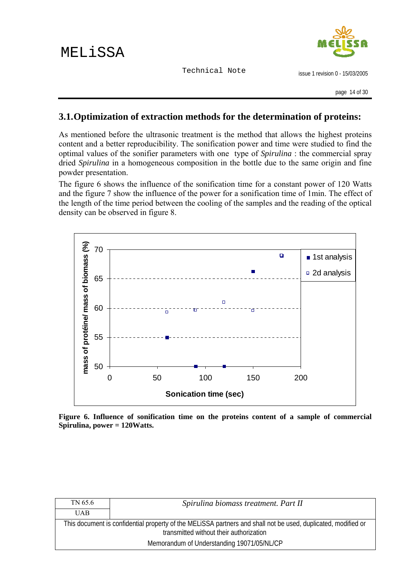

issue 1 revision 0 - 15/03/2005

### <span id="page-13-0"></span>**3.1.Optimization of extraction methods for the determination of proteins:**

As mentioned before the ultrasonic treatment is the method that allows the highest proteins content and a better reproducibility. The sonification power and time were studied to find the optimal values of the sonifier parameters with one type of *Spirulina* : the commercial spray dried *Spirulina* in a homogeneous composition in the bottle due to the same origin and fine powder presentation.

The figure 6 shows the influence of the sonification time for a constant power of 120 Watts and the figure 7 show the influence of the power for a sonification time of 1min. The effect of the length of the time period between the cooling of the samples and the reading of the optical density can be observed in figure 8.



**Figure 6. Influence of sonification time on the proteins content of a sample of commercial Spirulina, power = 120Watts.** 

| TN 65.6    | Spirulina biomass treatment. Part II                                                                                                                     |
|------------|----------------------------------------------------------------------------------------------------------------------------------------------------------|
| <b>UAB</b> |                                                                                                                                                          |
|            | This document is confidential property of the MELISSA partners and shall not be used, duplicated, modified or<br>transmitted without their authorization |
|            | Memorandum of Understanding 19071/05/NL/CP                                                                                                               |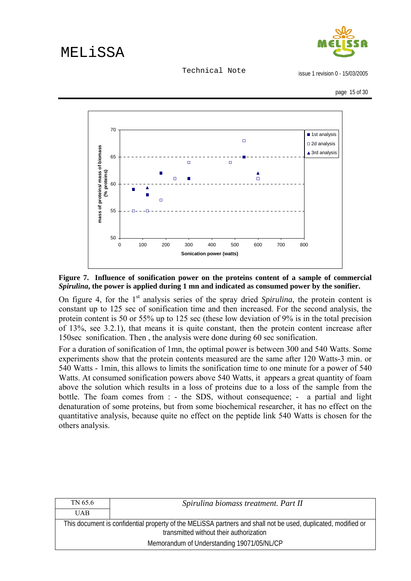Technical Note

issue 1 revision 0 - 15/03/2005

page 15 of 30



**Figure 7. Influence of sonification power on the proteins content of a sample of commercial**  *Spirulina***, the power is applied during 1 mn and indicated as consumed power by the sonifier.** 

On figure 4, for the 1<sup>st</sup> analysis series of the spray dried *Spirulina*, the protein content is constant up to 125 sec of sonification time and then increased. For the second analysis, the protein content is 50 or 55% up to 125 sec (these low deviation of 9% is in the total precision of 13%, see 3.2.1), that means it is quite constant, then the protein content increase after 150sec sonification. Then , the analysis were done during 60 sec sonification.

For a duration of sonification of 1mn, the optimal power is between 300 and 540 Watts. Some experiments show that the protein contents measured are the same after 120 Watts-3 min. or 540 Watts - 1min, this allows to limits the sonification time to one minute for a power of 540 Watts. At consumed sonification powers above 540 Watts, it appears a great quantity of foam above the solution which results in a loss of proteins due to a loss of the sample from the bottle. The foam comes from : - the SDS, without consequence; - a partial and light denaturation of some proteins, but from some biochemical researcher, it has no effect on the quantitative analysis, because quite no effect on the peptide link 540 Watts is chosen for the others analysis.

| TN 65.6    | Spirulina biomass treatment. Part II                                                                                                                     |
|------------|----------------------------------------------------------------------------------------------------------------------------------------------------------|
| <b>UAB</b> |                                                                                                                                                          |
|            | This document is confidential property of the MELISSA partners and shall not be used, duplicated, modified or<br>transmitted without their authorization |
|            | Memorandum of Understanding 19071/05/NL/CP                                                                                                               |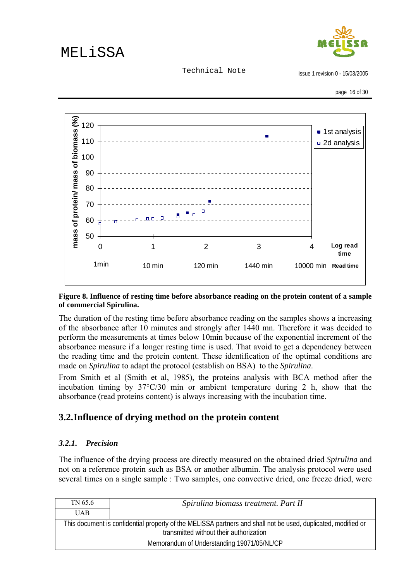

Technical Note

issue 1 revision 0 - 15/03/2005

page 16 of 30

<span id="page-15-0"></span>

#### **Figure 8. Influence of resting time before absorbance reading on the protein content of a sample of commercial Spirulina.**

The duration of the resting time before absorbance reading on the samples shows a increasing of the absorbance after 10 minutes and strongly after 1440 mn. Therefore it was decided to perform the measurements at times below 10min because of the exponential increment of the absorbance measure if a longer resting time is used. That avoid to get a dependency between the reading time and the protein content. These identification of the optimal conditions are made on *Spirulina* to adapt the protocol (establish on BSA) to the *Spirulina*.

From Smith et al (Smith et al, 1985), the proteins analysis with BCA method after the incubation timing by 37°C/30 min or ambient temperature during 2 h, show that the absorbance (read proteins content) is always increasing with the incubation time.

### **3.2.Influence of drying method on the protein content**

### *3.2.1. Precision*

The influence of the drying process are directly measured on the obtained dried *Spirulina* and not on a reference protein such as BSA or another albumin. The analysis protocol were used several times on a single sample : Two samples, one convective dried, one freeze dried, were

| TN 65.6    | Spirulina biomass treatment. Part II                                                                                                                     |
|------------|----------------------------------------------------------------------------------------------------------------------------------------------------------|
| <b>UAB</b> |                                                                                                                                                          |
|            | This document is confidential property of the MELISSA partners and shall not be used, duplicated, modified or<br>transmitted without their authorization |
|            | Memorandum of Understanding 19071/05/NL/CP                                                                                                               |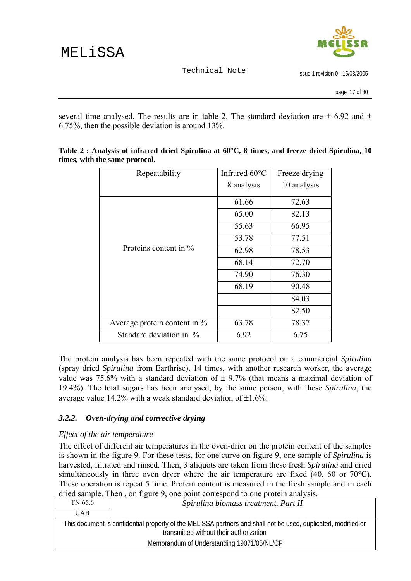

issue 1 revision 0 - 15/03/2005

page 17 of 30

<span id="page-16-0"></span>several time analysed. The results are in table 2. The standard deviation are  $\pm$  6.92 and  $\pm$ 6.75%, then the possible deviation is around 13%.

| Repeatability                | Infrared 60°C | Freeze drying |
|------------------------------|---------------|---------------|
|                              | 8 analysis    | 10 analysis   |
|                              | 61.66         | 72.63         |
|                              | 65.00         | 82.13         |
|                              | 55.63         | 66.95         |
|                              | 53.78         | 77.51         |
| Proteins content in $\%$     | 62.98         | 78.53         |
|                              | 68.14         | 72.70         |
|                              | 74.90         | 76.30         |
|                              | 68.19         | 90.48         |
|                              |               | 84.03         |
|                              |               | 82.50         |
| Average protein content in % | 63.78         | 78.37         |
| Standard deviation in %      | 6.92          | 6.75          |

**Table 2 : Analysis of infrared dried Spirulina at 60°C, 8 times, and freeze dried Spirulina, 10 times, with the same protocol.** 

The protein analysis has been repeated with the same protocol on a commercial *Spirulina* (spray dried *Spirulina* from Earthrise), 14 times, with another research worker, the average value was 75.6% with a standard deviation of  $\pm$  9.7% (that means a maximal deviation of 19.4%). The total sugars has been analysed, by the same person, with these *Spirulina*, the average value 14.2% with a weak standard deviation of  $\pm 1.6$ %.

### *3.2.2. Oven-drying and convective drying*

#### *Effect of the air temperature*

The effect of different air temperatures in the oven-drier on the protein content of the samples is shown in the figure 9. For these tests, for one curve on figure 9, one sample of *Spirulina* is harvested, filtrated and rinsed. Then, 3 aliquots are taken from these fresh *Spirulina* and dried simultaneously in three oven dryer where the air temperature are fixed (40, 60 or 70°C). These operation is repeat 5 time. Protein content is measured in the fresh sample and in each dried sample. Then , on figure 9, one point correspond to one protein analysis.

| TN 65.6    | Spirulina biomass treatment. Part II                                                                                                                     |
|------------|----------------------------------------------------------------------------------------------------------------------------------------------------------|
| <b>UAB</b> |                                                                                                                                                          |
|            | This document is confidential property of the MELISSA partners and shall not be used, duplicated, modified or<br>transmitted without their authorization |
|            | Memorandum of Understanding 19071/05/NL/CP                                                                                                               |
|            |                                                                                                                                                          |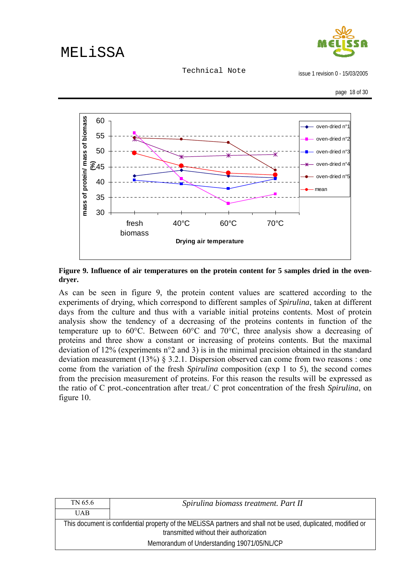

Technical Note

issue 1 revision 0 - 15/03/2005



**Figure 9. Influence of air temperatures on the protein content for 5 samples dried in the ovendryer.** 

As can be seen in figure 9, the protein content values are scattered according to the experiments of drying, which correspond to different samples of *Spirulina*, taken at different days from the culture and thus with a variable initial proteins contents. Most of protein analysis show the tendency of a decreasing of the proteins contents in function of the temperature up to 60°C. Between 60°C and 70°C, three analysis show a decreasing of proteins and three show a constant or increasing of proteins contents. But the maximal deviation of 12% (experiments n°2 and 3) is in the minimal precision obtained in the standard deviation measurement (13%) § 3.2.1. Dispersion observed can come from two reasons : one come from the variation of the fresh *Spirulina* composition (exp 1 to 5), the second comes from the precision measurement of proteins. For this reason the results will be expressed as the ratio of C prot.-concentration after treat./ C prot concentration of the fresh *Spirulina*, on figure 10.

| TN 65.6    | Spirulina biomass treatment. Part II                                                                                                                     |
|------------|----------------------------------------------------------------------------------------------------------------------------------------------------------|
| <b>UAB</b> |                                                                                                                                                          |
|            | This document is confidential property of the MELISSA partners and shall not be used, duplicated, modified or<br>transmitted without their authorization |
|            | Memorandum of Understanding 19071/05/NL/CP                                                                                                               |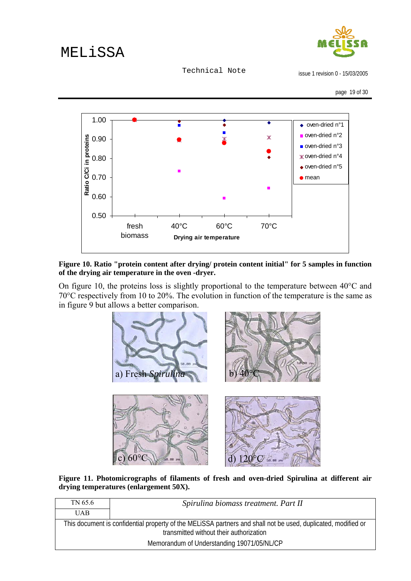

Technical Note

issue 1 revision 0 - 15/03/2005

page 19 of 30



**Figure 10. Ratio "protein content after drying/ protein content initial" for 5 samples in function of the drying air temperature in the oven -dryer.** 

On figure 10, the proteins loss is slightly proportional to the temperature between 40°C and 70°C respectively from 10 to 20%. The evolution in function of the temperature is the same as in figure 9 but allows a better comparison.



**Figure 11. Photomicrographs of filaments of fresh and oven-dried Spirulina at different air drying temperatures (enlargement 50X).** 

| TN 65.6    | Spirulina biomass treatment. Part II                                                                                                                     |
|------------|----------------------------------------------------------------------------------------------------------------------------------------------------------|
| <b>UAB</b> |                                                                                                                                                          |
|            | This document is confidential property of the MELISSA partners and shall not be used, duplicated, modified or<br>transmitted without their authorization |
|            | Memorandum of Understanding 19071/05/NL/CP                                                                                                               |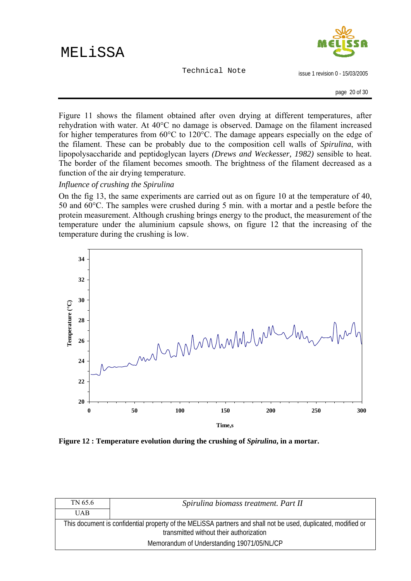Technical Note



issue 1 revision 0 - 15/03/2005

page 20 of 30

Figure 11 shows the filament obtained after oven drying at different temperatures, after rehydration with water. At 40°C no damage is observed. Damage on the filament increased for higher temperatures from 60°C to 120°C. The damage appears especially on the edge of the filament. These can be probably due to the composition cell walls of *Spirulina*, with lipopolysaccharide and peptidoglycan layers *(Drews and Weckesser, 1982)* sensible to heat. The border of the filament becomes smooth. The brightness of the filament decreased as a function of the air drying temperature.

*Influence of crushing the Spirulina*

On the fig 13, the same experiments are carried out as on figure 10 at the temperature of 40, 50 and 60°C. The samples were crushed during 5 min. with a mortar and a pestle before the protein measurement. Although crushing brings energy to the product, the measurement of the temperature under the aluminium capsule shows, on figure 12 that the increasing of the temperature during the crushing is low.



**Figure 12 : Temperature evolution during the crushing of** *Spirulina***, in a mortar.** 

| TN 65.6    | Spirulina biomass treatment. Part II                                                                                                                     |
|------------|----------------------------------------------------------------------------------------------------------------------------------------------------------|
| <b>UAB</b> |                                                                                                                                                          |
|            | This document is confidential property of the MELISSA partners and shall not be used, duplicated, modified or<br>transmitted without their authorization |
|            | Memorandum of Understanding 19071/05/NL/CP                                                                                                               |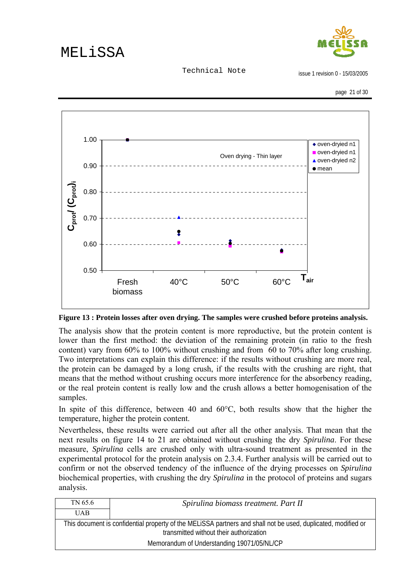

Technical Note



**Figure 13 : Protein losses after oven drying. The samples were crushed before proteins analysis.** 

The analysis show that the protein content is more reproductive, but the protein content is lower than the first method: the deviation of the remaining protein (in ratio to the fresh content) vary from 60% to 100% without crushing and from 60 to 70% after long crushing. Two interpretations can explain this difference: if the results without crushing are more real, the protein can be damaged by a long crush, if the results with the crushing are right, that means that the method without crushing occurs more interference for the absorbency reading, or the real protein content is really low and the crush allows a better homogenisation of the samples.

In spite of this difference, between 40 and  $60^{\circ}$ C, both results show that the higher the temperature, higher the protein content.

Nevertheless, these results were carried out after all the other analysis. That mean that the next results on figure 14 to 21 are obtained without crushing the dry *Spirulina*. For these measure, *Spirulina* cells are crushed only with ultra-sound treatment as presented in the experimental protocol for the protein analysis on 2.3.4. Further analysis will be carried out to confirm or not the observed tendency of the influence of the drying processes on *Spirulina* biochemical properties, with crushing the dry *Spirulina* in the protocol of proteins and sugars analysis.

| TN 65.6                                                                                                                                                  | Spirulina biomass treatment. Part II |
|----------------------------------------------------------------------------------------------------------------------------------------------------------|--------------------------------------|
| <b>UAB</b>                                                                                                                                               |                                      |
| This document is confidential property of the MELISSA partners and shall not be used, duplicated, modified or<br>transmitted without their authorization |                                      |
| Memorandum of Understanding 19071/05/NL/CP                                                                                                               |                                      |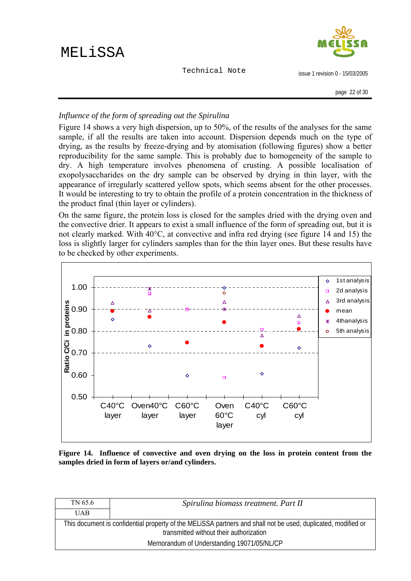Technical Note



issue 1 revision 0 - 15/03/2005

### *Influence of the form of spreading out the Spirulina*

Figure 14 shows a very high dispersion, up to 50%, of the results of the analyses for the same sample, if all the results are taken into account. Dispersion depends much on the type of drying, as the results by freeze-drying and by atomisation (following figures) show a better reproducibility for the same sample. This is probably due to homogeneity of the sample to dry. A high temperature involves phenomena of crusting. A possible localisation of exopolysaccharides on the dry sample can be observed by drying in thin layer, with the appearance of irregularly scattered yellow spots, which seems absent for the other processes. It would be interesting to try to obtain the profile of a protein concentration in the thickness of the product final (thin layer or cylinders).

On the same figure, the protein loss is closed for the samples dried with the drying oven and the convective drier. It appears to exist a small influence of the form of spreading out, but it is not clearly marked. With 40°C, at convective and infra red drying (see figure 14 and 15) the loss is slightly larger for cylinders samples than for the thin layer ones. But these results have to be checked by other experiments.



**Figure 14. Influence of convective and oven drying on the loss in protein content from the samples dried in form of layers or/and cylinders.** 

| TN 65.6                                                                                                                                                  | Spirulina biomass treatment. Part II |
|----------------------------------------------------------------------------------------------------------------------------------------------------------|--------------------------------------|
| <b>UAB</b>                                                                                                                                               |                                      |
| This document is confidential property of the MELISSA partners and shall not be used, duplicated, modified or<br>transmitted without their authorization |                                      |
| Memorandum of Understanding 19071/05/NL/CP                                                                                                               |                                      |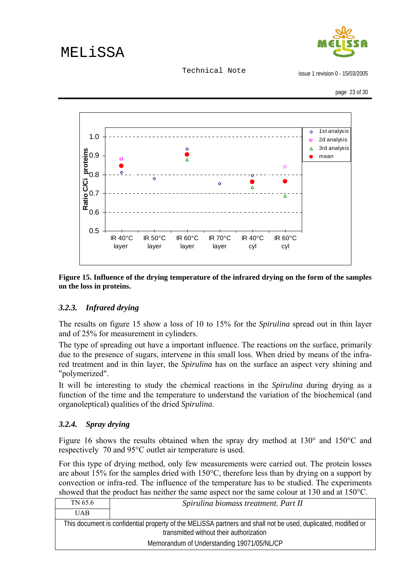

Technical Note

issue 1 revision 0 - 15/03/2005

<span id="page-22-0"></span>

**Figure 15. Influence of the drying temperature of the infrared drying on the form of the samples on the loss in proteins.** 

### *3.2.3. Infrared drying*

The results on figure 15 show a loss of 10 to 15% for the *Spirulina* spread out in thin layer and of 25% for measurement in cylinders.

The type of spreading out have a important influence. The reactions on the surface, primarily due to the presence of sugars, intervene in this small loss. When dried by means of the infrared treatment and in thin layer, the *Spirulina* has on the surface an aspect very shining and "polymerized".

It will be interesting to study the chemical reactions in the *Spirulina* during drying as a function of the time and the temperature to understand the variation of the biochemical (and organoleptical) qualities of the dried *Spirulina*.

### *3.2.4. Spray drying*

Figure 16 shows the results obtained when the spray dry method at 130° and 150°C and respectively 70 and 95°C outlet air temperature is used.

For this type of drying method, only few measurements were carried out. The protein losses are about 15% for the samples dried with 150°C, therefore less than by drying on a support by convection or infra-red. The influence of the temperature has to be studied. The experiments showed that the product has neither the same aspect nor the same colour at 130 and at 150°C.

| TN 65.6                                                                                                                                                  | Spirulina biomass treatment. Part II       |
|----------------------------------------------------------------------------------------------------------------------------------------------------------|--------------------------------------------|
| UAB.                                                                                                                                                     |                                            |
| This document is confidential property of the MELISSA partners and shall not be used, duplicated, modified or<br>transmitted without their authorization |                                            |
|                                                                                                                                                          | Memorandum of Understanding 19071/05/NL/CP |
|                                                                                                                                                          |                                            |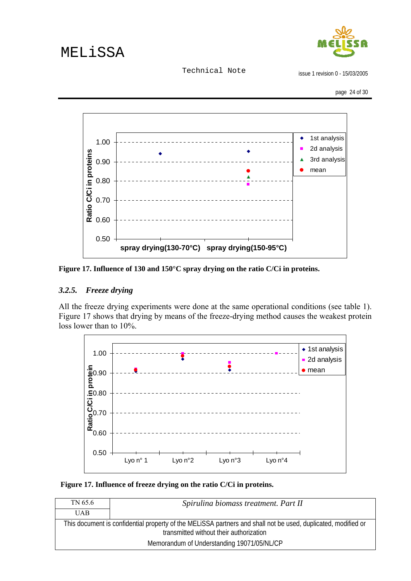Technical Note

issue 1 revision 0 - 15/03/2005

page 24 of 30

<span id="page-23-0"></span>

**Figure 17. Influence of 130 and 150°C spray drying on the ratio C/Ci in proteins.** 

#### *3.2.5. Freeze drying*

All the freeze drying experiments were done at the same operational conditions (see table 1). Figure 17 shows that drying by means of the freeze-drying method causes the weakest protein loss lower than to 10%.



 **Figure 17. Influence of freeze drying on the ratio C/Ci in proteins.** 

| TN 65.6                                                                                                                                                  | Spirulina biomass treatment. Part II |
|----------------------------------------------------------------------------------------------------------------------------------------------------------|--------------------------------------|
| <b>UAB</b>                                                                                                                                               |                                      |
| This document is confidential property of the MELISSA partners and shall not be used, duplicated, modified or<br>transmitted without their authorization |                                      |
| Memorandum of Understanding 19071/05/NL/CP                                                                                                               |                                      |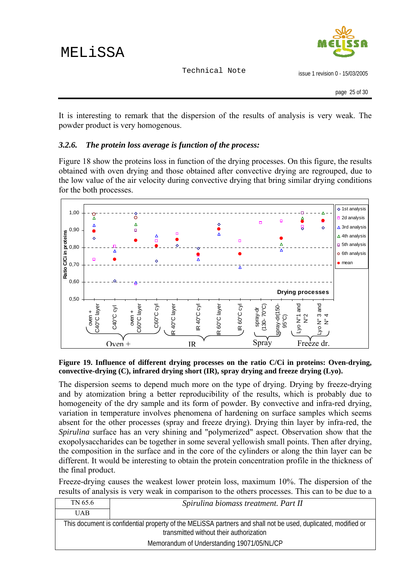

issue 1 revision 0 - 15/03/2005

<span id="page-24-0"></span>It is interesting to remark that the dispersion of the results of analysis is very weak. The powder product is very homogenous.

#### *3.2.6. The protein loss average is function of the process:*

Figure 18 show the proteins loss in function of the drying processes. On this figure, the results obtained with oven drying and those obtained after convective drying are regrouped, due to the low value of the air velocity during convective drying that bring similar drying conditions for the both processes.



**Figure 19. Influence of different drying processes on the ratio C/Ci in proteins: Oven-drying, convective-drying (C), infrared drying short (IR), spray drying and freeze drying (Lyo).** 

The dispersion seems to depend much more on the type of drying. Drying by freeze-drying and by atomization bring a better reproducibility of the results, which is probably due to homogeneity of the dry sample and its form of powder. By convective and infra-red drying, variation in temperature involves phenomena of hardening on surface samples which seems absent for the other processes (spray and freeze drying). Drying thin layer by infra-red, the *Spirulina* surface has an very shining and "polymerized" aspect. Observation show that the exopolysaccharides can be together in some several yellowish small points. Then after drying, the composition in the surface and in the core of the cylinders or along the thin layer can be different. It would be interesting to obtain the protein concentration profile in the thickness of the final product.

Freeze-drying causes the weakest lower protein loss, maximum 10%. The dispersion of the results of analysis is very weak in comparison to the others processes. This can to be due to a

| TN 65.6                                                                                                                                                  | Spirulina biomass treatment. Part II |
|----------------------------------------------------------------------------------------------------------------------------------------------------------|--------------------------------------|
| <b>UAB</b>                                                                                                                                               |                                      |
| This document is confidential property of the MELISSA partners and shall not be used, duplicated, modified or<br>transmitted without their authorization |                                      |
| Memorandum of Understanding 19071/05/NL/CP                                                                                                               |                                      |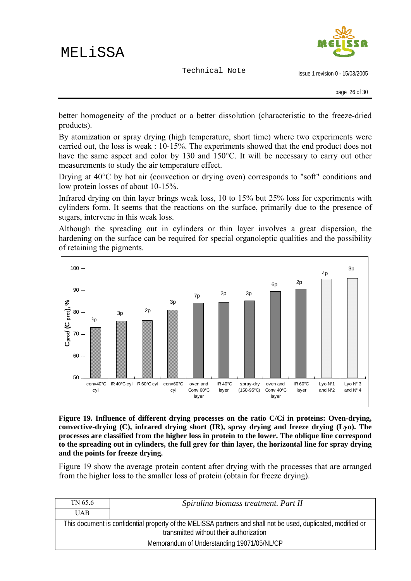Technical Note



issue 1 revision 0 - 15/03/2005

better homogeneity of the product or a better dissolution (characteristic to the freeze-dried products).

By atomization or spray drying (high temperature, short time) where two experiments were carried out, the loss is weak : 10-15%. The experiments showed that the end product does not have the same aspect and color by 130 and 150°C. It will be necessary to carry out other measurements to study the air temperature effect.

Drying at 40°C by hot air (convection or drying oven) corresponds to "soft" conditions and low protein losses of about 10-15%.

Infrared drying on thin layer brings weak loss, 10 to 15% but 25% loss for experiments with cylinders form. It seems that the reactions on the surface, primarily due to the presence of sugars, intervene in this weak loss.

Although the spreading out in cylinders or thin layer involves a great dispersion, the hardening on the surface can be required for special organoleptic qualities and the possibility of retaining the pigments.



**Figure 19. Influence of different drying processes on the ratio C/Ci in proteins: Oven-drying, convective-drying (C), infrared drying short (IR), spray drying and freeze drying (Lyo). The processes are classified from the higher loss in protein to the lower. The oblique line correspond to the spreading out in cylinders, the full grey for thin layer, the horizontal line for spray drying and the points for freeze drying.** 

Figure 19 show the average protein content after drying with the processes that are arranged from the higher loss to the smaller loss of protein (obtain for freeze drying).

| TN 65.6                                                                                                                                                  | Spirulina biomass treatment. Part II |
|----------------------------------------------------------------------------------------------------------------------------------------------------------|--------------------------------------|
| <b>UAB</b>                                                                                                                                               |                                      |
| This document is confidential property of the MELISSA partners and shall not be used, duplicated, modified or<br>transmitted without their authorization |                                      |
| Memorandum of Understanding 19071/05/NL/CP                                                                                                               |                                      |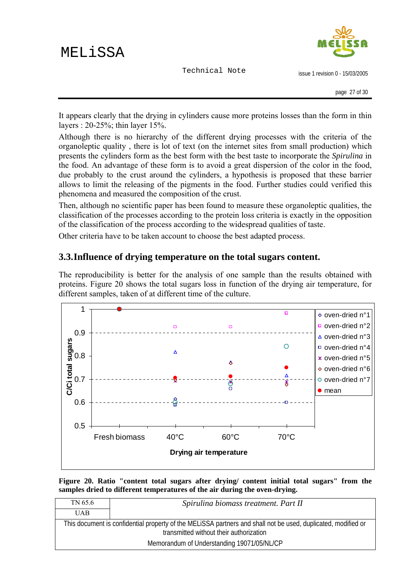Technical Note



issue 1 revision 0 - 15/03/2005

<span id="page-26-0"></span>It appears clearly that the drying in cylinders cause more proteins losses than the form in thin layers : 20-25%; thin layer 15%.

Although there is no hierarchy of the different drying processes with the criteria of the organoleptic quality , there is lot of text (on the internet sites from small production) which presents the cylinders form as the best form with the best taste to incorporate the *Spirulina* in the food. An advantage of these form is to avoid a great dispersion of the color in the food, due probably to the crust around the cylinders, a hypothesis is proposed that these barrier allows to limit the releasing of the pigments in the food. Further studies could verified this phenomena and measured the composition of the crust.

Then, although no scientific paper has been found to measure these organoleptic qualities, the classification of the processes according to the protein loss criteria is exactly in the opposition of the classification of the process according to the widespread qualities of taste.

Other criteria have to be taken account to choose the best adapted process.

### **3.3.Influence of drying temperature on the total sugars content.**

The reproducibility is better for the analysis of one sample than the results obtained with proteins. Figure 20 shows the total sugars loss in function of the drying air temperature, for different samples, taken of at different time of the culture.



**Figure 20. Ratio "content total sugars after drying/ content initial total sugars" from the samples dried to different temperatures of the air during the oven-drying.** 

| TN 65.6                                                                                                                                                  | Spirulina biomass treatment. Part II |
|----------------------------------------------------------------------------------------------------------------------------------------------------------|--------------------------------------|
| <b>UAB</b>                                                                                                                                               |                                      |
| This document is confidential property of the MELISSA partners and shall not be used, duplicated, modified or<br>transmitted without their authorization |                                      |
| Memorandum of Understanding 19071/05/NL/CP                                                                                                               |                                      |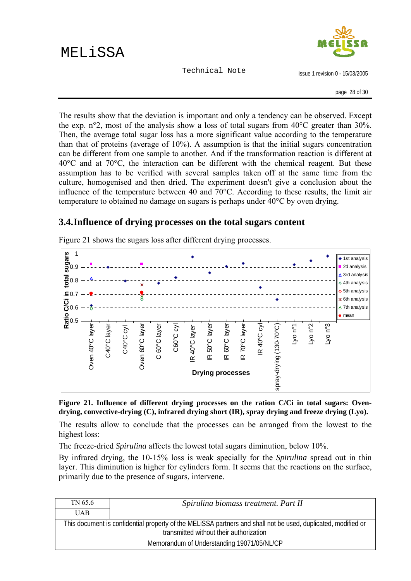issue 1 revision 0 - 15/03/2005

<span id="page-27-0"></span>The results show that the deviation is important and only a tendency can be observed. Except the exp. n°2, most of the analysis show a loss of total sugars from  $40^{\circ}$ C greater than 30%. Then, the average total sugar loss has a more significant value according to the temperature than that of proteins (average of 10%). A assumption is that the initial sugars concentration can be different from one sample to another. And if the transformation reaction is different at 40°C and at 70°C, the interaction can be different with the chemical reagent. But these assumption has to be verified with several samples taken off at the same time from the culture, homogenised and then dried. The experiment doesn't give a conclusion about the influence of the temperature between 40 and 70°C. According to these results, the limit air temperature to obtained no damage on sugars is perhaps under 40°C by oven drying.

### **3.4.Influence of drying processes on the total sugars content**



Figure 21 shows the sugars loss after different drying processes.

**Figure 21. Influence of different drying processes on the ration C/Ci in total sugars: Ovendrying, convective-drying (C), infrared drying short (IR), spray drying and freeze drying (Lyo).** 

The results allow to conclude that the processes can be arranged from the lowest to the highest loss:

The freeze-dried *Spirulina* affects the lowest total sugars diminution, below 10%.

By infrared drying, the 10-15% loss is weak specially for the *Spirulina* spread out in thin layer. This diminution is higher for cylinders form. It seems that the reactions on the surface, primarily due to the presence of sugars, intervene.

| TN 65.6                                                                                                                                                  | Spirulina biomass treatment. Part II |
|----------------------------------------------------------------------------------------------------------------------------------------------------------|--------------------------------------|
| <b>UAB</b>                                                                                                                                               |                                      |
| This document is confidential property of the MELISSA partners and shall not be used, duplicated, modified or<br>transmitted without their authorization |                                      |
| Memorandum of Understanding 19071/05/NL/CP                                                                                                               |                                      |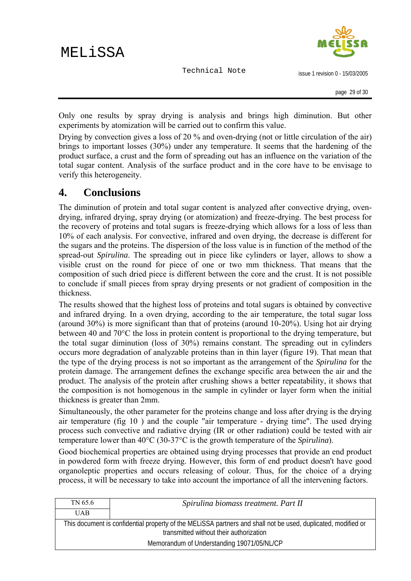

issue 1 revision 0 - 15/03/2005

<span id="page-28-0"></span>Only one results by spray drying is analysis and brings high diminution. But other experiments by atomization will be carried out to confirm this value.

Drying by convection gives a loss of 20 % and oven-drying (not or little circulation of the air) brings to important losses (30%) under any temperature. It seems that the hardening of the product surface, a crust and the form of spreading out has an influence on the variation of the total sugar content. Analysis of the surface product and in the core have to be envisage to verify this heterogeneity.

### **4. Conclusions**

The diminution of protein and total sugar content is analyzed after convective drying, ovendrying, infrared drying, spray drying (or atomization) and freeze-drying. The best process for the recovery of proteins and total sugars is freeze-drying which allows for a loss of less than 10% of each analysis. For convective, infrared and oven drying, the decrease is different for the sugars and the proteins. The dispersion of the loss value is in function of the method of the spread-out *Spirulina*. The spreading out in piece like cylinders or layer, allows to show a visible crust on the round for piece of one or two mm thickness. That means that the composition of such dried piece is different between the core and the crust. It is not possible to conclude if small pieces from spray drying presents or not gradient of composition in the thickness.

The results showed that the highest loss of proteins and total sugars is obtained by convective and infrared drying. In a oven drying, according to the air temperature, the total sugar loss (around 30%) is more significant than that of proteins (around 10-20%). Using hot air drying between 40 and 70°C the loss in protein content is proportional to the drying temperature, but the total sugar diminution (loss of 30%) remains constant. The spreading out in cylinders occurs more degradation of analyzable proteins than in thin layer (figure 19). That mean that the type of the drying process is not so important as the arrangement of the *Spirulina* for the protein damage. The arrangement defines the exchange specific area between the air and the product. The analysis of the protein after crushing shows a better repeatability, it shows that the composition is not homogenous in the sample in cylinder or layer form when the initial thickness is greater than 2mm.

Simultaneously, the other parameter for the proteins change and loss after drying is the drying air temperature (fig 10 ) and the couple "air temperature - drying time". The used drying process such convective and radiative drying (IR or other radiation) could be tested with air temperature lower than 40°C (30-37°C is the growth temperature of the *Spirulina*).

Good biochemical properties are obtained using drying processes that provide an end product in powdered form with freeze drying. However, this form of end product doesn't have good organoleptic properties and occurs releasing of colour. Thus, for the choice of a drying process, it will be necessary to take into account the importance of all the intervening factors.

| TN 65.6                                                                                                                                                  | Spirulina biomass treatment. Part II       |
|----------------------------------------------------------------------------------------------------------------------------------------------------------|--------------------------------------------|
| UAB.                                                                                                                                                     |                                            |
| This document is confidential property of the MELISSA partners and shall not be used, duplicated, modified or<br>transmitted without their authorization |                                            |
|                                                                                                                                                          | Memorandum of Understanding 19071/05/NL/CP |